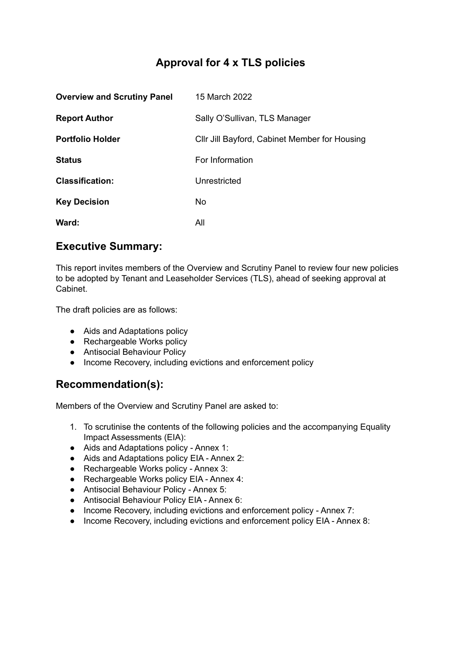# **Approval for 4 x TLS policies**

| <b>Overview and Scrutiny Panel</b> | 15 March 2022                                 |
|------------------------------------|-----------------------------------------------|
| <b>Report Author</b>               | Sally O'Sullivan, TLS Manager                 |
| <b>Portfolio Holder</b>            | Cllr Jill Bayford, Cabinet Member for Housing |
| <b>Status</b>                      | For Information                               |
| <b>Classification:</b>             | Unrestricted                                  |
| <b>Key Decision</b>                | No.                                           |
| Ward:                              | All                                           |

## **Executive Summary:**

This report invites members of the Overview and Scrutiny Panel to review four new policies to be adopted by Tenant and Leaseholder Services (TLS), ahead of seeking approval at Cabinet.

The draft policies are as follows:

- Aids and Adaptations policy
- Rechargeable Works policy
- Antisocial Behaviour Policy
- Income Recovery, including evictions and enforcement policy

## **Recommendation(s):**

Members of the Overview and Scrutiny Panel are asked to:

- 1. To scrutinise the contents of the following policies and the accompanying Equality Impact Assessments (EIA):
- Aids and Adaptations policy Annex 1:
- Aids and Adaptations policy EIA Annex 2:
- Rechargeable Works policy Annex 3:
- Rechargeable Works policy EIA Annex 4:
- Antisocial Behaviour Policy Annex 5:
- Antisocial Behaviour Policy EIA Annex 6:
- Income Recovery, including evictions and enforcement policy Annex 7:
- Income Recovery, including evictions and enforcement policy EIA Annex 8: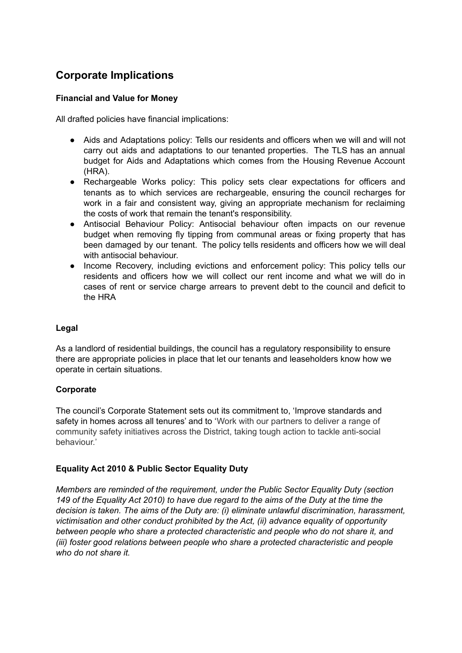# **Corporate Implications**

### **Financial and Value for Money**

All drafted policies have financial implications:

- Aids and Adaptations policy: Tells our residents and officers when we will and will not carry out aids and adaptations to our tenanted properties. The TLS has an annual budget for Aids and Adaptations which comes from the Housing Revenue Account (HRA).
- Rechargeable Works policy: This policy sets clear expectations for officers and tenants as to which services are rechargeable, ensuring the council recharges for work in a fair and consistent way, giving an appropriate mechanism for reclaiming the costs of work that remain the tenant's responsibility.
- Antisocial Behaviour Policy: Antisocial behaviour often impacts on our revenue budget when removing fly tipping from communal areas or fixing property that has been damaged by our tenant. The policy tells residents and officers how we will deal with antisocial behaviour.
- Income Recovery, including evictions and enforcement policy: This policy tells our residents and officers how we will collect our rent income and what we will do in cases of rent or service charge arrears to prevent debt to the council and deficit to the HRA

#### **Legal**

As a landlord of residential buildings, the council has a regulatory responsibility to ensure there are appropriate policies in place that let our tenants and leaseholders know how we operate in certain situations.

#### **Corporate**

The council's Corporate Statement sets out its commitment to, 'Improve standards and safety in homes across all tenures' and to 'Work with our partners to deliver a range of community safety initiatives across the District, taking tough action to tackle anti-social behaviour.'

### **Equality Act 2010 & Public Sector Equality Duty**

*Members are reminded of the requirement, under the Public Sector Equality Duty (section* 149 of the Equality Act 2010) to have due regard to the aims of the Duty at the time the *decision is taken. The aims of the Duty are: (i) eliminate unlawful discrimination, harassment, victimisation and other conduct prohibited by the Act, (ii) advance equality of opportunity between people who share a protected characteristic and people who do not share it, and (iii) foster good relations between people who share a protected characteristic and people who do not share it.*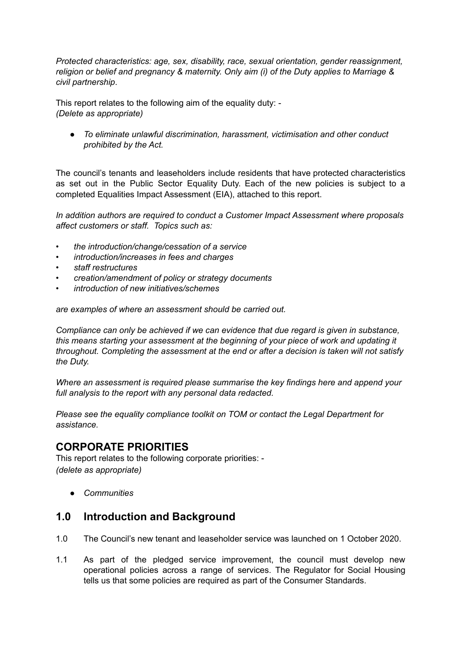*Protected characteristics: age, sex, disability, race, sexual orientation, gender reassignment, religion or belief and pregnancy & maternity. Only aim (i) of the Duty applies to Marriage & civil partnership*.

This report relates to the following aim of the equality duty: - *(Delete as appropriate)*

*● To eliminate unlawful discrimination, harassment, victimisation and other conduct prohibited by the Act.*

The council's tenants and leaseholders include residents that have protected characteristics as set out in the Public Sector Equality Duty. Each of the new policies is subject to a completed Equalities Impact Assessment (EIA), attached to this report.

*In addition authors are required to conduct a Customer Impact Assessment where proposals affect customers or staff. Topics such as:*

- *• the introduction/change/cessation of a service*
- *• introduction/increases in fees and charges*
- *• staff restructures*
- *• creation/amendment of policy or strategy documents*
- *• introduction of new initiatives/schemes*

*are examples of where an assessment should be carried out.*

*Compliance can only be achieved if we can evidence that due regard is given in substance, this means starting your assessment at the beginning of your piece of work and updating it throughout. Completing the assessment at the end or after a decision is taken will not satisfy the Duty.*

*Where an assessment is required please summarise the key findings here and append your full analysis to the report with any personal data redacted.*

*Please see the equality compliance toolkit on TOM or contact the Legal Department for assistance.*

### **CORPORATE PRIORITIES**

This report relates to the following corporate priorities: - *(delete as appropriate)*

*● Communities*

### **1.0 Introduction and Background**

- 1.0 The Council's new tenant and leaseholder service was launched on 1 October 2020.
- 1.1 As part of the pledged service improvement, the council must develop new operational policies across a range of services. The Regulator for Social Housing tells us that some policies are required as part of the Consumer Standards.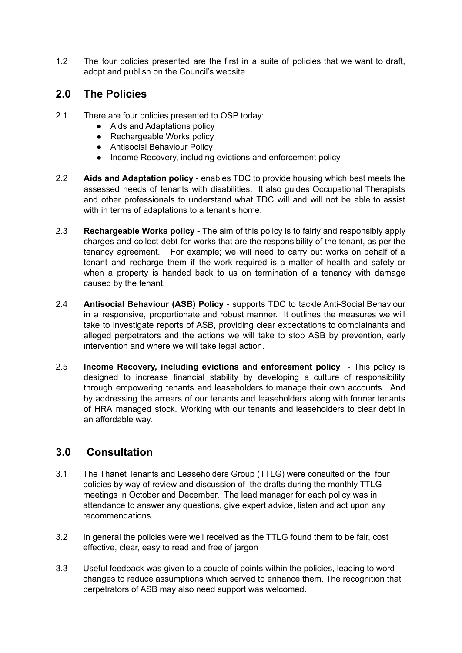1.2 The four policies presented are the first in a suite of policies that we want to draft, adopt and publish on the Council's website.

## **2.0 The Policies**

- 2.1 There are four policies presented to OSP today:
	- Aids and Adaptations policy
	- Rechargeable Works policy
	- Antisocial Behaviour Policy
	- Income Recovery, including evictions and enforcement policy
- 2.2 **Aids and Adaptation policy** enables TDC to provide housing which best meets the assessed needs of tenants with disabilities. It also guides Occupational Therapists and other professionals to understand what TDC will and will not be able to assist with in terms of adaptations to a tenant's home.
- 2.3 **Rechargeable Works policy** The aim of this policy is to fairly and responsibly apply charges and collect debt for works that are the responsibility of the tenant, as per the tenancy agreement. For example; we will need to carry out works on behalf of a tenant and recharge them if the work required is a matter of health and safety or when a property is handed back to us on termination of a tenancy with damage caused by the tenant.
- 2.4 **Antisocial Behaviour (ASB) Policy** supports TDC to tackle Anti-Social Behaviour in a responsive, proportionate and robust manner. It outlines the measures we will take to investigate reports of ASB, providing clear expectations to complainants and alleged perpetrators and the actions we will take to stop ASB by prevention, early intervention and where we will take legal action.
- 2.5 **Income Recovery, including evictions and enforcement policy** This policy is designed to increase financial stability by developing a culture of responsibility through empowering tenants and leaseholders to manage their own accounts. And by addressing the arrears of our tenants and leaseholders along with former tenants of HRA managed stock. Working with our tenants and leaseholders to clear debt in an affordable way.

# **3.0 Consultation**

- 3.1 The Thanet Tenants and Leaseholders Group (TTLG) were consulted on the four policies by way of review and discussion of the drafts during the monthly TTLG meetings in October and December. The lead manager for each policy was in attendance to answer any questions, give expert advice, listen and act upon any recommendations.
- 3.2 In general the policies were well received as the TTLG found them to be fair, cost effective, clear, easy to read and free of jargon
- 3.3 Useful feedback was given to a couple of points within the policies, leading to word changes to reduce assumptions which served to enhance them. The recognition that perpetrators of ASB may also need support was welcomed.